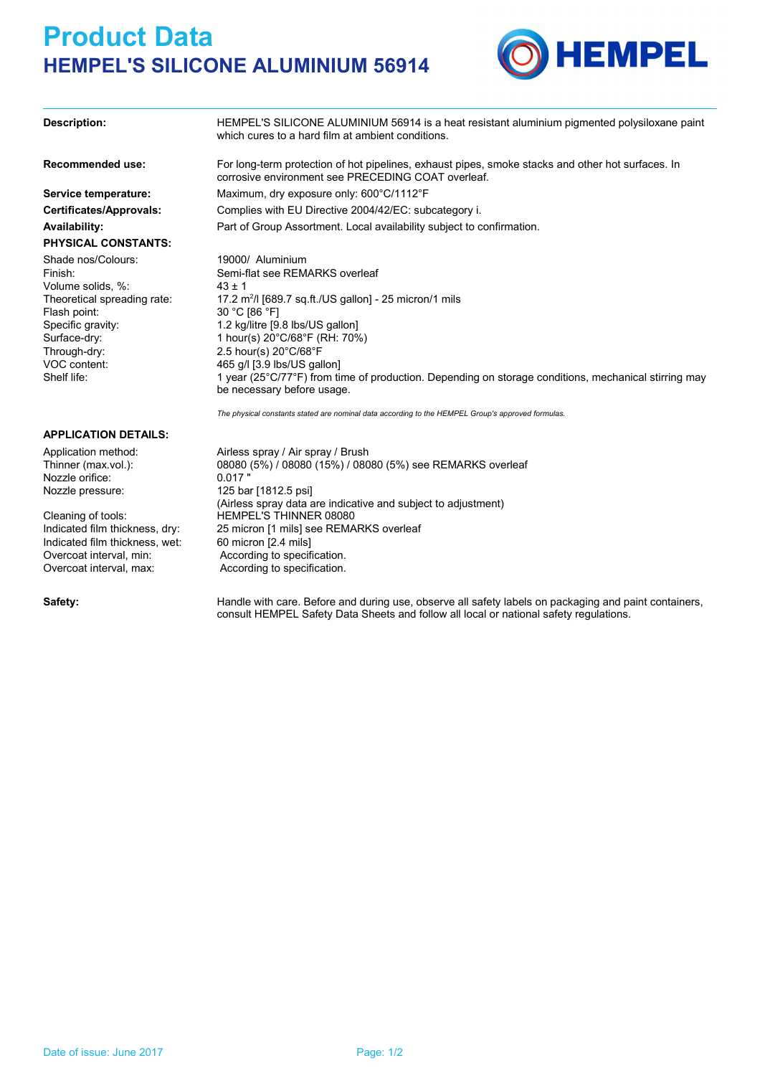## **Product Data HEMPEL'S SILICONE ALUMINIUM 56914**



**Description: Recommended use: Service temperature:** HEMPEL'S SILICONE ALUMINIUM 56914 is a heat resistant aluminium pigmented polysiloxane paint which cures to a hard film at ambient conditions. corrosive environment see PRECEDING COAT overleaf. Maximum, dry exposure only: 600°C/1112°F

**Certificates/Approvals: Availability:**

### **PHYSICAL CONSTANTS:**

Shade nos/Colours: Volume solids,  $\%$ : 43 ± 1 Theoretical spreading rate: VOC content: Specific gravity: Flash point: Through-dry: 2.5 hour(s) 20°C/68°F

For long-term protection of hot pipelines, exhaust pipes, smoke stacks and other hot surfaces. In Part of Group Assortment. Local availability subject to confirmation. Complies with EU Directive 2004/42/EC: subcategory i.

Finish: Semi-flat see REMARKS overleaf 17.2 m<sup>2</sup>/l [689.7 sq.ft./US gallon] - 25 micron/1 mils 19000/ Aluminium 30 °C [86 °F] 1.2 kg/litre [9.8 lbs/US gallon] 465 g/l [3.9 lbs/US gallon] Surface-dry: 1 hour(s) 20°C/68°F (RH: 70%) Shelf life: 1 year (25°C/77°F) from time of production. Depending on storage conditions, mechanical stirring may be necessary before usage.

*The physical constants stated are nominal data according to the HEMPEL Group's approved formulas.*

Application method: Airless spray / Air spray / Brush Thinner (max.vol.): 08080 (5%) / 08080 (15%) / 08080 (5%) see REMARKS overleaf Nozzle pressure: 125 bar [1812.5 psi] (Airless spray data are indicative and subject to adjustment) Indicated film thickness, dry: 25 micron [1 mils] see REMARKS overleaf Cleaning of tools: HEMPEL'S THINNER 08080

**APPLICATION DETAILS:**

Nozzle orifice: 0.017

Indicated film thickness, wet: 60 micron [2.4 mils] Overcoat interval, min: According to specification. Overcoat interval, max: According to specification.

Safety: **Handle with care. Before and during use, observe all safety labels on packaging and paint containers,** consult HEMPEL Safety Data Sheets and follow all local or national safety regulations.